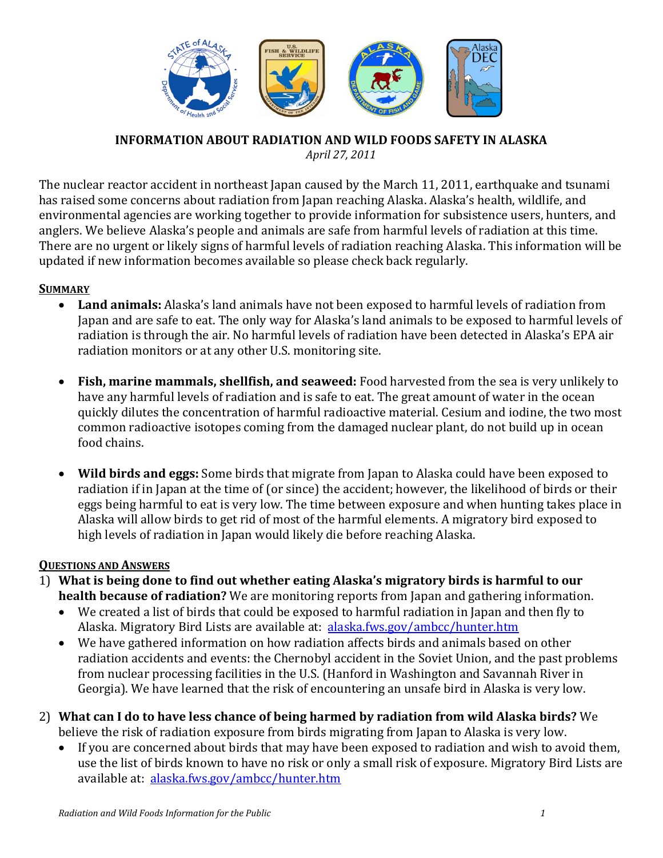

#### **INFORMATION ABOUT RADIATION AND WILD FOODS SAFETY IN ALASKA** *April 27, 2011*

The nuclear reactor accident in northeast Japan caused by the March 11, 2011, earthquake and tsunami has raised some concerns about radiation from Japan reaching Alaska. Alaska's health, wildlife, and environmental agencies are working together to provide information for subsistence users, hunters, and anglers. We believe Alaska's people and animals are safe from harmful levels of radiation at this time. There are no urgent or likely signs of harmful levels of radiation reaching Alaska. This information will be updated if new information becomes available so please check back regularly.

#### **SUMMARY**

- **Land animals:** Alaska's land animals have not been exposed to harmful levels of radiation from Japan and are safe to eat. The only way for Alaska's land animals to be exposed to harmful levels of radiation is through the air. No harmful levels of radiation have been detected in Alaska's EPA air radiation monitors or at any other U.S. monitoring site.
- **Fish, marine mammals, shellfish, and seaweed:** Food harvested from the sea is very unlikely to have any harmful levels of radiation and is safe to eat. The great amount of water in the ocean quickly dilutes the concentration of harmful radioactive material. Cesium and iodine, the two most common radioactive isotopes coming from the damaged nuclear plant, do not build up in ocean food chains.
- **Wild birds and eggs:** Some birds that migrate from Japan to Alaska could have been exposed to radiation if in Japan at the time of (or since) the accident; however, the likelihood of birds or their eggs being harmful to eat is very low. The time between exposure and when hunting takes place in Alaska will allow birds to get rid of most of the harmful elements. A migratory bird exposed to high levels of radiation in Japan would likely die before reaching Alaska.

#### **QUESTIONS AND ANSWERS**

- 1) **What is being done to find out whether eating Alaska's migratory birds is harmful to our health because of radiation?** We are monitoring reports from Japan and gathering information.
	- We created a list of birds that could be exposed to harmful radiation in Japan and then fly to Alaska. Migratory Bird Lists are available at: [alaska.fws.gov/ambcc/hunter.htm](http://alaska.fws.gov/ambcc/hunter.htm)
	- We have gathered information on how radiation affects birds and animals based on other radiation accidents and events: the Chernobyl accident in the Soviet Union, and the past problems from nuclear processing facilities in the U.S. (Hanford in Washington and Savannah River in Georgia). We have learned that the risk of encountering an unsafe bird in Alaska is very low.
- 2) **What can I do to have less chance of being harmed by radiation from wild Alaska birds?** We believe the risk of radiation exposure from birds migrating from Japan to Alaska is very low.<br>• If you are concerned about birds that may have been exposed to radiation and wish to ave
	- If you are concerned about birds that may have been exposed to radiation and wish to avoid them, use the list of birds known to have no risk or only a small risk of exposure. Migratory Bird Lists are available at: [alaska.fws.gov/ambcc/hunter.htm](http://alaska.fws.gov/ambcc/hunter.htm)